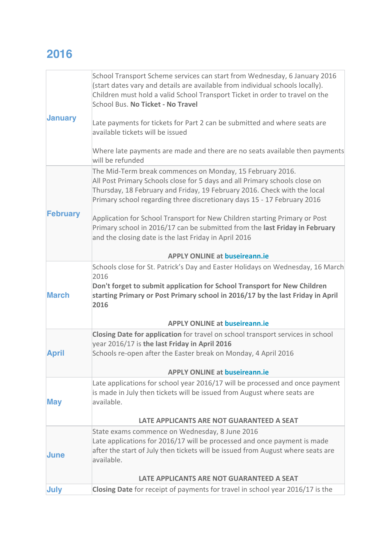## **2016**

|                 | School Transport Scheme services can start from Wednesday, 6 January 2016<br>(start dates vary and details are available from individual schools locally).<br>Children must hold a valid School Transport Ticket in order to travel on the<br>School Bus. No Ticket - No Travel                |
|-----------------|------------------------------------------------------------------------------------------------------------------------------------------------------------------------------------------------------------------------------------------------------------------------------------------------|
| <b>January</b>  | Late payments for tickets for Part 2 can be submitted and where seats are<br>available tickets will be issued                                                                                                                                                                                  |
| <b>February</b> | Where late payments are made and there are no seats available then payments<br>will be refunded                                                                                                                                                                                                |
|                 | The Mid-Term break commences on Monday, 15 February 2016.<br>All Post Primary Schools close for 5 days and all Primary schools close on<br>Thursday, 18 February and Friday, 19 February 2016. Check with the local<br>Primary school regarding three discretionary days 15 - 17 February 2016 |
|                 | Application for School Transport for New Children starting Primary or Post<br>Primary school in 2016/17 can be submitted from the last Friday in February<br>and the closing date is the last Friday in April 2016                                                                             |
|                 | <b>APPLY ONLINE at buseireann.ie</b>                                                                                                                                                                                                                                                           |
| <b>March</b>    | Schools close for St. Patrick's Day and Easter Holidays on Wednesday, 16 March<br>2016<br>Don't forget to submit application for School Transport for New Children<br>starting Primary or Post Primary school in 2016/17 by the last Friday in April<br>2016                                   |
|                 | <b>APPLY ONLINE at buseireann.ie</b>                                                                                                                                                                                                                                                           |
| <b>April</b>    | Closing Date for application for travel on school transport services in school<br>year 2016/17 is the last Friday in April 2016<br>Schools re-open after the Easter break on Monday, 4 April 2016                                                                                              |
|                 | <b>APPLY ONLINE at buseireann.ie</b>                                                                                                                                                                                                                                                           |
| <b>May</b>      | Late applications for school year 2016/17 will be processed and once payment<br>is made in July then tickets will be issued from August where seats are<br>available.                                                                                                                          |
| <b>June</b>     | LATE APPLICANTS ARE NOT GUARANTEED A SEAT                                                                                                                                                                                                                                                      |
|                 | State exams commence on Wednesday, 8 June 2016                                                                                                                                                                                                                                                 |
|                 | Late applications for 2016/17 will be processed and once payment is made<br>after the start of July then tickets will be issued from August where seats are<br>available.                                                                                                                      |
|                 | LATE APPLICANTS ARE NOT GUARANTEED A SEAT                                                                                                                                                                                                                                                      |
| July            | Closing Date for receipt of payments for travel in school year 2016/17 is the                                                                                                                                                                                                                  |